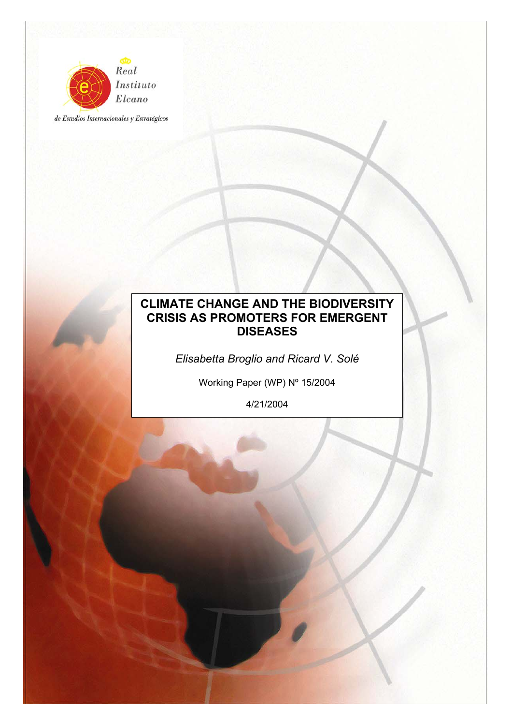

de Estudios Internacionales y Estratégicos

# **CLIMATE CHANGE AND THE BIODIVERSITY CRISIS AS PROMOTERS FOR EMERGENT DISEASES**

*Elisabetta Broglio and Ricard V. Solé* 

Working Paper (WP) Nº 15/2004

4/21/2004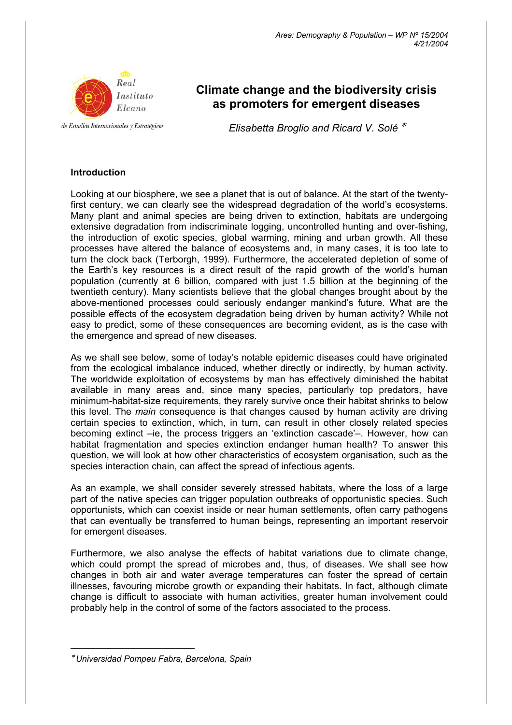

de Estudios Internacionales y Estratégicos

# **Climate change and the biodiversity crisis as promoters for emergent diseases**

*Elisabetta Broglio and Ricard V. Solé* <sup>∗</sup>

## **Introduction**

Looking at our biosphere, we see a planet that is out of balance. At the start of the twentyfirst century, we can clearly see the widespread degradation of the world's ecosystems. Many plant and animal species are being driven to extinction, habitats are undergoing extensive degradation from indiscriminate logging, uncontrolled hunting and over-fishing, the introduction of exotic species, global warming, mining and urban growth. All these processes have altered the balance of ecosystems and, in many cases, it is too late to turn the clock back (Terborgh, 1999). Furthermore, the accelerated depletion of some of the Earth's key resources is a direct result of the rapid growth of the world's human population (currently at 6 billion, compared with just 1.5 billion at the beginning of the twentieth century). Many scientists believe that the global changes brought about by the above-mentioned processes could seriously endanger mankind's future. What are the possible effects of the ecosystem degradation being driven by human activity? While not easy to predict, some of these consequences are becoming evident, as is the case with the emergence and spread of new diseases.

As we shall see below, some of today's notable epidemic diseases could have originated from the ecological imbalance induced, whether directly or indirectly, by human activity. The worldwide exploitation of ecosystems by man has effectively diminished the habitat available in many areas and, since many species, particularly top predators, have minimum-habitat-size requirements, they rarely survive once their habitat shrinks to below this level. The *main* consequence is that changes caused by human activity are driving certain species to extinction, which, in turn, can result in other closely related species becoming extinct –ie, the process triggers an 'extinction cascade'–. However, how can habitat fragmentation and species extinction endanger human health? To answer this question, we will look at how other characteristics of ecosystem organisation, such as the species interaction chain, can affect the spread of infectious agents.

As an example, we shall consider severely stressed habitats, where the loss of a large part of the native species can trigger population outbreaks of opportunistic species. Such opportunists, which can coexist inside or near human settlements, often carry pathogens that can eventually be transferred to human beings, representing an important reservoir for emergent diseases.

Furthermore, we also analyse the effects of habitat variations due to climate change, which could prompt the spread of microbes and, thus, of diseases. We shall see how changes in both air and water average temperatures can foster the spread of certain illnesses, favouring microbe growth or expanding their habitats. In fact, although climate change is difficult to associate with human activities, greater human involvement could probably help in the control of some of the factors associated to the process.

 $\overline{a}$ 

<sup>∗</sup> *Universidad Pompeu Fabra, Barcelona, Spain*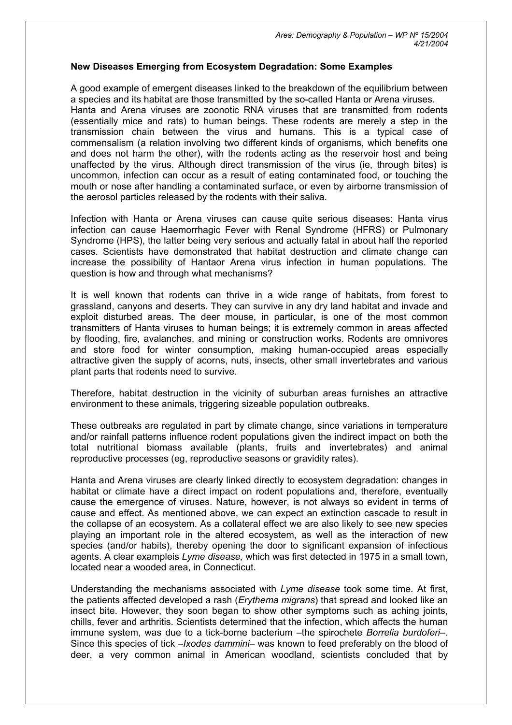#### **New Diseases Emerging from Ecosystem Degradation: Some Examples**

A good example of emergent diseases linked to the breakdown of the equilibrium between a species and its habitat are those transmitted by the so-called Hanta or Arena viruses. Hanta and Arena viruses are zoonotic RNA viruses that are transmitted from rodents (essentially mice and rats) to human beings. These rodents are merely a step in the transmission chain between the virus and humans. This is a typical case of commensalism (a relation involving two different kinds of organisms, which benefits one and does not harm the other), with the rodents acting as the reservoir host and being unaffected by the virus. Although direct transmission of the virus (ie, through bites) is uncommon, infection can occur as a result of eating contaminated food, or touching the mouth or nose after handling a contaminated surface, or even by airborne transmission of the aerosol particles released by the rodents with their saliva.

Infection with Hanta or Arena viruses can cause quite serious diseases: Hanta virus infection can cause Haemorrhagic Fever with Renal Syndrome (HFRS) or Pulmonary Syndrome (HPS), the latter being very serious and actually fatal in about half the reported cases. Scientists have demonstrated that habitat destruction and climate change can increase the possibility of Hantaor Arena virus infection in human populations. The question is how and through what mechanisms?

It is well known that rodents can thrive in a wide range of habitats, from forest to grassland, canyons and deserts. They can survive in any dry land habitat and invade and exploit disturbed areas. The deer mouse, in particular, is one of the most common transmitters of Hanta viruses to human beings; it is extremely common in areas affected by flooding, fire, avalanches, and mining or construction works. Rodents are omnivores and store food for winter consumption, making human-occupied areas especially attractive given the supply of acorns, nuts, insects, other small invertebrates and various plant parts that rodents need to survive.

Therefore, habitat destruction in the vicinity of suburban areas furnishes an attractive environment to these animals, triggering sizeable population outbreaks.

These outbreaks are regulated in part by climate change, since variations in temperature and/or rainfall patterns influence rodent populations given the indirect impact on both the total nutritional biomass available (plants, fruits and invertebrates) and animal reproductive processes (eg, reproductive seasons or gravidity rates).

Hanta and Arena viruses are clearly linked directly to ecosystem degradation: changes in habitat or climate have a direct impact on rodent populations and, therefore, eventually cause the emergence of viruses. Nature, however, is not always so evident in terms of cause and effect. As mentioned above, we can expect an extinction cascade to result in the collapse of an ecosystem. As a collateral effect we are also likely to see new species playing an important role in the altered ecosystem, as well as the interaction of new species (and/or habits), thereby opening the door to significant expansion of infectious agents. A clear exampleis *Lyme disease,* which was first detected in 1975 in a small town, located near a wooded area, in Connecticut.

Understanding the mechanisms associated with *Lyme disease* took some time. At first, the patients affected developed a rash (*Erythema migrans*) that spread and looked like an insect bite. However, they soon began to show other symptoms such as aching joints, chills, fever and arthritis. Scientists determined that the infection, which affects the human immune system, was due to a tick-borne bacterium –the spirochete *Borrelia burdoferi–*. Since this species of tick –*Ixodes dammini*– was known to feed preferably on the blood of deer, a very common animal in American woodland, scientists concluded that by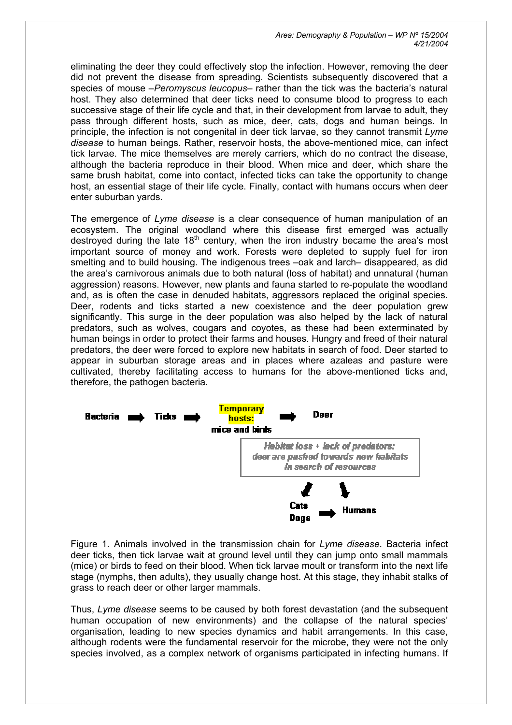eliminating the deer they could effectively stop the infection. However, removing the deer did not prevent the disease from spreading. Scientists subsequently discovered that a species of mouse –*Peromyscus leucopus*– rather than the tick was the bacteria's natural host. They also determined that deer ticks need to consume blood to progress to each successive stage of their life cycle and that, in their development from larvae to adult, they pass through different hosts, such as mice, deer, cats, dogs and human beings. In principle, the infection is not congenital in deer tick larvae, so they cannot transmit *Lyme disease* to human beings. Rather, reservoir hosts, the above-mentioned mice, can infect tick larvae. The mice themselves are merely carriers, which do no contract the disease, although the bacteria reproduce in their blood. When mice and deer, which share the same brush habitat, come into contact, infected ticks can take the opportunity to change host, an essential stage of their life cycle. Finally, contact with humans occurs when deer enter suburban yards.

The emergence of *Lyme disease* is a clear consequence of human manipulation of an ecosystem. The original woodland where this disease first emerged was actually destroyed during the late  $18<sup>th</sup>$  century, when the iron industry became the area's most important source of money and work. Forests were depleted to supply fuel for iron smelting and to build housing. The indigenous trees –oak and larch– disappeared, as did the area's carnivorous animals due to both natural (loss of habitat) and unnatural (human aggression) reasons. However, new plants and fauna started to re-populate the woodland and, as is often the case in denuded habitats, aggressors replaced the original species. Deer, rodents and ticks started a new coexistence and the deer population grew significantly. This surge in the deer population was also helped by the lack of natural predators, such as wolves, cougars and coyotes, as these had been exterminated by human beings in order to protect their farms and houses. Hungry and freed of their natural predators, the deer were forced to explore new habitats in search of food. Deer started to appear in suburban storage areas and in places where azaleas and pasture were cultivated, thereby facilitating access to humans for the above-mentioned ticks and, therefore, the pathogen bacteria.



Figure 1. Animals involved in the transmission chain for *Lyme disease*. Bacteria infect deer ticks, then tick larvae wait at ground level until they can jump onto small mammals (mice) or birds to feed on their blood. When tick larvae moult or transform into the next life stage (nymphs, then adults), they usually change host. At this stage, they inhabit stalks of grass to reach deer or other larger mammals.

Thus, *Lyme disease* seems to be caused by both forest devastation (and the subsequent human occupation of new environments) and the collapse of the natural species' organisation, leading to new species dynamics and habit arrangements. In this case, although rodents were the fundamental reservoir for the microbe, they were not the only species involved, as a complex network of organisms participated in infecting humans. If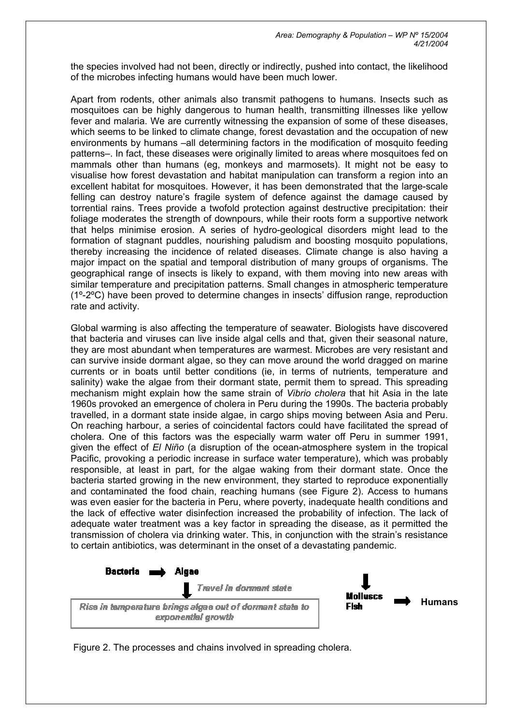the species involved had not been, directly or indirectly, pushed into contact, the likelihood of the microbes infecting humans would have been much lower.

Apart from rodents, other animals also transmit pathogens to humans. Insects such as mosquitoes can be highly dangerous to human health, transmitting illnesses like yellow fever and malaria. We are currently witnessing the expansion of some of these diseases, which seems to be linked to climate change, forest devastation and the occupation of new environments by humans –all determining factors in the modification of mosquito feeding patterns–. In fact, these diseases were originally limited to areas where mosquitoes fed on mammals other than humans (eg, monkeys and marmosets). It might not be easy to visualise how forest devastation and habitat manipulation can transform a region into an excellent habitat for mosquitoes. However, it has been demonstrated that the large-scale felling can destroy nature's fragile system of defence against the damage caused by torrential rains. Trees provide a twofold protection against destructive precipitation: their foliage moderates the strength of downpours, while their roots form a supportive network that helps minimise erosion. A series of hydro-geological disorders might lead to the formation of stagnant puddles, nourishing paludism and boosting mosquito populations, thereby increasing the incidence of related diseases. Climate change is also having a major impact on the spatial and temporal distribution of many groups of organisms. The geographical range of insects is likely to expand, with them moving into new areas with similar temperature and precipitation patterns. Small changes in atmospheric temperature (1º-2ºC) have been proved to determine changes in insects' diffusion range, reproduction rate and activity.

Global warming is also affecting the temperature of seawater. Biologists have discovered that bacteria and viruses can live inside algal cells and that, given their seasonal nature, they are most abundant when temperatures are warmest. Microbes are very resistant and can survive inside dormant algae, so they can move around the world dragged on marine currents or in boats until better conditions (ie, in terms of nutrients, temperature and salinity) wake the algae from their dormant state, permit them to spread. This spreading mechanism might explain how the same strain of *Vibrio cholera* that hit Asia in the late 1960s provoked an emergence of cholera in Peru during the 1990s. The bacteria probably travelled, in a dormant state inside algae, in cargo ships moving between Asia and Peru. On reaching harbour, a series of coincidental factors could have facilitated the spread of cholera. One of this factors was the especially warm water off Peru in summer 1991, given the effect of *El Niño* (a disruption of the ocean-atmosphere system in the tropical Pacific, provoking a periodic increase in surface water temperature), which was probably responsible, at least in part, for the algae waking from their dormant state. Once the bacteria started growing in the new environment, they started to reproduce exponentially and contaminated the food chain, reaching humans (see Figure 2). Access to humans was even easier for the bacteria in Peru, where poverty, inadequate health conditions and the lack of effective water disinfection increased the probability of infection. The lack of adequate water treatment was a key factor in spreading the disease, as it permitted the transmission of cholera via drinking water. This, in conjunction with the strain's resistance to certain antibiotics, was determinant in the onset of a devastating pandemic.



Figure 2. The processes and chains involved in spreading cholera.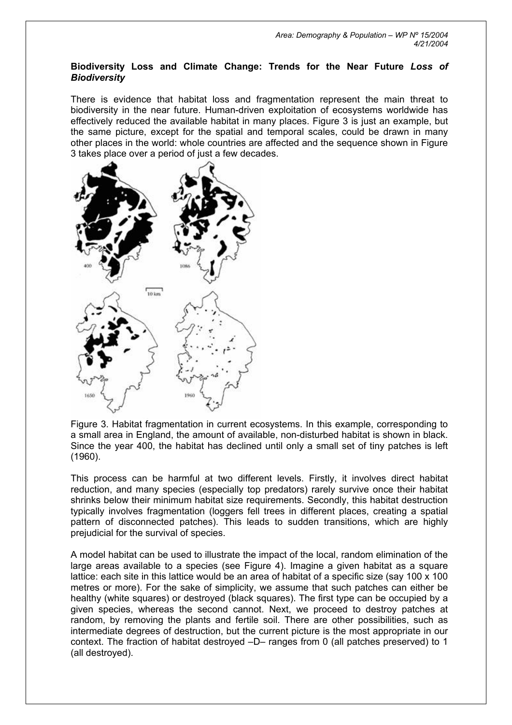#### **Biodiversity Loss and Climate Change: Trends for the Near Future** *Loss of Biodiversity*

There is evidence that habitat loss and fragmentation represent the main threat to biodiversity in the near future. Human-driven exploitation of ecosystems worldwide has effectively reduced the available habitat in many places. Figure 3 is just an example, but the same picture, except for the spatial and temporal scales, could be drawn in many other places in the world: whole countries are affected and the sequence shown in Figure 3 takes place over a period of just a few decades.



Figure 3. Habitat fragmentation in current ecosystems. In this example, corresponding to a small area in England, the amount of available, non-disturbed habitat is shown in black. Since the year 400, the habitat has declined until only a small set of tiny patches is left (1960).

This process can be harmful at two different levels. Firstly, it involves direct habitat reduction, and many species (especially top predators) rarely survive once their habitat shrinks below their minimum habitat size requirements. Secondly, this habitat destruction typically involves fragmentation (loggers fell trees in different places, creating a spatial pattern of disconnected patches). This leads to sudden transitions, which are highly prejudicial for the survival of species.

A model habitat can be used to illustrate the impact of the local, random elimination of the large areas available to a species (see Figure 4). Imagine a given habitat as a square lattice: each site in this lattice would be an area of habitat of a specific size (say 100 x 100 metres or more). For the sake of simplicity, we assume that such patches can either be healthy (white squares) or destroyed (black squares). The first type can be occupied by a given species, whereas the second cannot. Next, we proceed to destroy patches at random, by removing the plants and fertile soil. There are other possibilities, such as intermediate degrees of destruction, but the current picture is the most appropriate in our context. The fraction of habitat destroyed –D– ranges from 0 (all patches preserved) to 1 (all destroyed).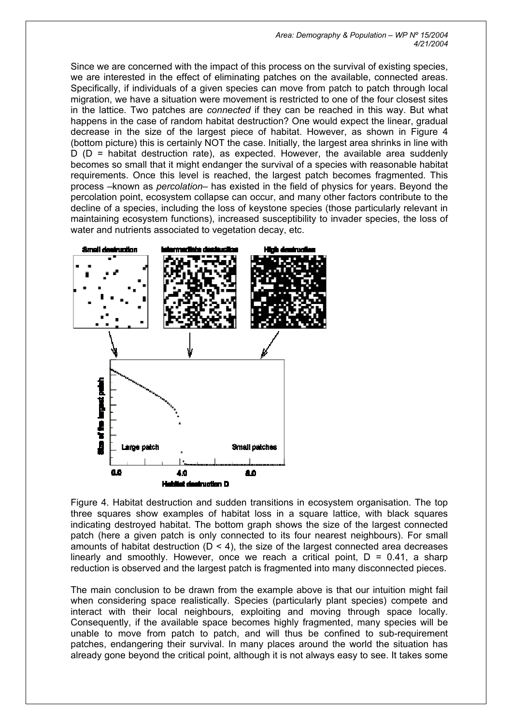*Area: Demography & Population – WP Nº 15/2004 4/21/2004* 

Since we are concerned with the impact of this process on the survival of existing species, we are interested in the effect of eliminating patches on the available, connected areas. Specifically, if individuals of a given species can move from patch to patch through local migration, we have a situation were movement is restricted to one of the four closest sites in the lattice. Two patches are *connected* if they can be reached in this way. But what happens in the case of random habitat destruction? One would expect the linear, gradual decrease in the size of the largest piece of habitat. However, as shown in Figure 4 (bottom picture) this is certainly NOT the case. Initially, the largest area shrinks in line with  $D$  ( $D$  = habitat destruction rate), as expected. However, the available area suddenly becomes so small that it might endanger the survival of a species with reasonable habitat requirements. Once this level is reached, the largest patch becomes fragmented. This process –known as *percolation*– has existed in the field of physics for years. Beyond the percolation point, ecosystem collapse can occur, and many other factors contribute to the decline of a species, including the loss of keystone species (those particularly relevant in maintaining ecosystem functions), increased susceptibility to invader species, the loss of water and nutrients associated to vegetation decay, etc.



Figure 4. Habitat destruction and sudden transitions in ecosystem organisation. The top three squares show examples of habitat loss in a square lattice, with black squares indicating destroyed habitat. The bottom graph shows the size of the largest connected patch (here a given patch is only connected to its four nearest neighbours). For small amounts of habitat destruction ( $D < 4$ ), the size of the largest connected area decreases linearly and smoothly. However, once we reach a critical point,  $D = 0.41$ , a sharp reduction is observed and the largest patch is fragmented into many disconnected pieces.

The main conclusion to be drawn from the example above is that our intuition might fail when considering space realistically. Species (particularly plant species) compete and interact with their local neighbours, exploiting and moving through space locally. Consequently, if the available space becomes highly fragmented, many species will be unable to move from patch to patch, and will thus be confined to sub-requirement patches, endangering their survival. In many places around the world the situation has already gone beyond the critical point, although it is not always easy to see. It takes some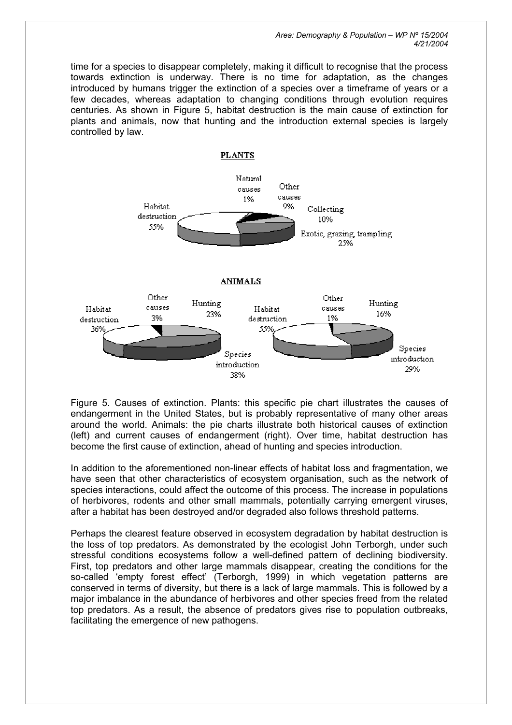*Area: Demography & Population – WP Nº 15/2004 4/21/2004* 

time for a species to disappear completely, making it difficult to recognise that the process towards extinction is underway. There is no time for adaptation, as the changes introduced by humans trigger the extinction of a species over a timeframe of years or a few decades, whereas adaptation to changing conditions through evolution requires centuries. As shown in Figure 5, habitat destruction is the main cause of extinction for plants and animals, now that hunting and the introduction external species is largely controlled by law.



Figure 5. Causes of extinction. Plants: this specific pie chart illustrates the causes of endangerment in the United States, but is probably representative of many other areas around the world. Animals: the pie charts illustrate both historical causes of extinction (left) and current causes of endangerment (right). Over time, habitat destruction has become the first cause of extinction, ahead of hunting and species introduction.

In addition to the aforementioned non-linear effects of habitat loss and fragmentation, we have seen that other characteristics of ecosystem organisation, such as the network of species interactions, could affect the outcome of this process. The increase in populations of herbivores, rodents and other small mammals, potentially carrying emergent viruses, after a habitat has been destroyed and/or degraded also follows threshold patterns.

Perhaps the clearest feature observed in ecosystem degradation by habitat destruction is the loss of top predators. As demonstrated by the ecologist John Terborgh, under such stressful conditions ecosystems follow a well-defined pattern of declining biodiversity. First, top predators and other large mammals disappear, creating the conditions for the so-called 'empty forest effect' (Terborgh, 1999) in which vegetation patterns are conserved in terms of diversity, but there is a lack of large mammals. This is followed by a major imbalance in the abundance of herbivores and other species freed from the related top predators. As a result, the absence of predators gives rise to population outbreaks, facilitating the emergence of new pathogens.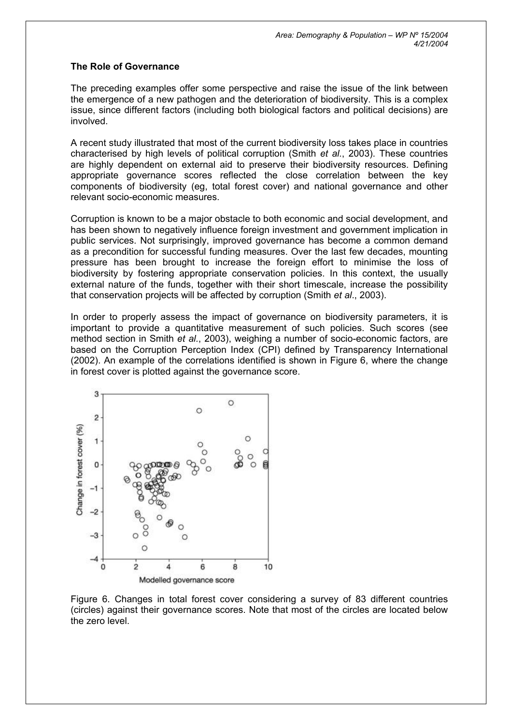### **The Role of Governance**

The preceding examples offer some perspective and raise the issue of the link between the emergence of a new pathogen and the deterioration of biodiversity. This is a complex issue, since different factors (including both biological factors and political decisions) are involved.

A recent study illustrated that most of the current biodiversity loss takes place in countries characterised by high levels of political corruption (Smith *et al.*, 2003). These countries are highly dependent on external aid to preserve their biodiversity resources. Defining appropriate governance scores reflected the close correlation between the key components of biodiversity (eg, total forest cover) and national governance and other relevant socio-economic measures.

Corruption is known to be a major obstacle to both economic and social development, and has been shown to negatively influence foreign investment and government implication in public services. Not surprisingly, improved governance has become a common demand as a precondition for successful funding measures. Over the last few decades, mounting pressure has been brought to increase the foreign effort to minimise the loss of biodiversity by fostering appropriate conservation policies. In this context, the usually external nature of the funds, together with their short timescale, increase the possibility that conservation projects will be affected by corruption (Smith *et al*., 2003).

In order to properly assess the impact of governance on biodiversity parameters, it is important to provide a quantitative measurement of such policies. Such scores (see method section in Smith *et al.*, 2003), weighing a number of socio-economic factors, are based on the Corruption Perception Index (CPI) defined by Transparency International (2002). An example of the correlations identified is shown in Figure 6, where the change in forest cover is plotted against the governance score.



Figure 6. Changes in total forest cover considering a survey of 83 different countries (circles) against their governance scores. Note that most of the circles are located below the zero level.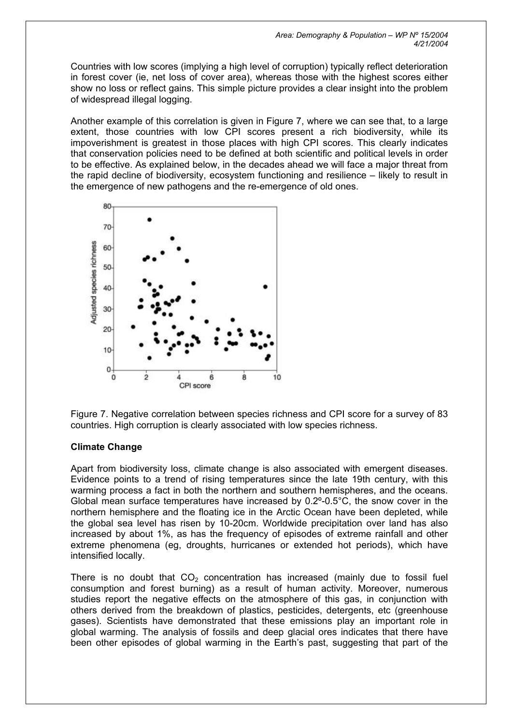Countries with low scores (implying a high level of corruption) typically reflect deterioration in forest cover (ie, net loss of cover area), whereas those with the highest scores either show no loss or reflect gains. This simple picture provides a clear insight into the problem of widespread illegal logging.

Another example of this correlation is given in Figure 7, where we can see that, to a large extent, those countries with low CPI scores present a rich biodiversity, while its impoverishment is greatest in those places with high CPI scores. This clearly indicates that conservation policies need to be defined at both scientific and political levels in order to be effective. As explained below, in the decades ahead we will face a major threat from the rapid decline of biodiversity, ecosystem functioning and resilience – likely to result in the emergence of new pathogens and the re-emergence of old ones.



Figure 7. Negative correlation between species richness and CPI score for a survey of 83 countries. High corruption is clearly associated with low species richness.

## **Climate Change**

Apart from biodiversity loss, climate change is also associated with emergent diseases. Evidence points to a trend of rising temperatures since the late 19th century, with this warming process a fact in both the northern and southern hemispheres, and the oceans. Global mean surface temperatures have increased by 0.2º-0.5°C, the snow cover in the northern hemisphere and the floating ice in the Arctic Ocean have been depleted, while the global sea level has risen by 10-20cm. Worldwide precipitation over land has also increased by about 1%, as has the frequency of episodes of extreme rainfall and other extreme phenomena (eg, droughts, hurricanes or extended hot periods), which have intensified locally.

There is no doubt that  $CO<sub>2</sub>$  concentration has increased (mainly due to fossil fuel consumption and forest burning) as a result of human activity. Moreover, numerous studies report the negative effects on the atmosphere of this gas, in conjunction with others derived from the breakdown of plastics, pesticides, detergents, etc (greenhouse gases). Scientists have demonstrated that these emissions play an important role in global warming. The analysis of fossils and deep glacial ores indicates that there have been other episodes of global warming in the Earth's past, suggesting that part of the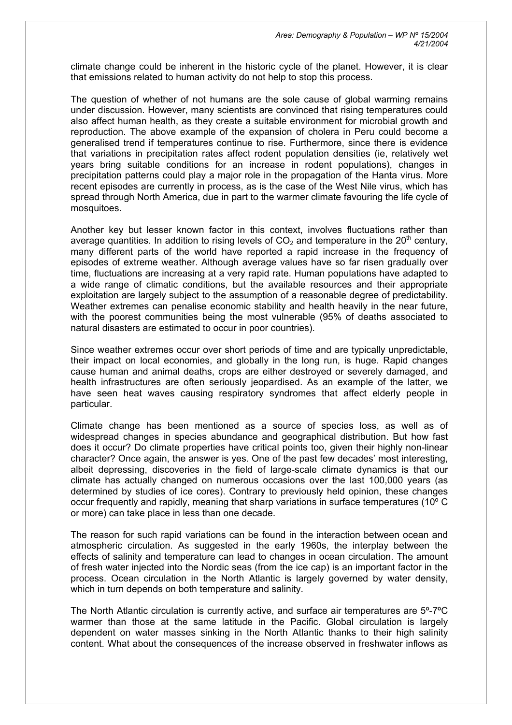climate change could be inherent in the historic cycle of the planet. However, it is clear that emissions related to human activity do not help to stop this process.

The question of whether of not humans are the sole cause of global warming remains under discussion. However, many scientists are convinced that rising temperatures could also affect human health, as they create a suitable environment for microbial growth and reproduction. The above example of the expansion of cholera in Peru could become a generalised trend if temperatures continue to rise. Furthermore, since there is evidence that variations in precipitation rates affect rodent population densities (ie, relatively wet years bring suitable conditions for an increase in rodent populations), changes in precipitation patterns could play a major role in the propagation of the Hanta virus. More recent episodes are currently in process, as is the case of the West Nile virus, which has spread through North America, due in part to the warmer climate favouring the life cycle of mosquitoes.

Another key but lesser known factor in this context, involves fluctuations rather than average quantities. In addition to rising levels of  $CO<sub>2</sub>$  and temperature in the 20<sup>th</sup> century, many different parts of the world have reported a rapid increase in the frequency of episodes of extreme weather. Although average values have so far risen gradually over time, fluctuations are increasing at a very rapid rate. Human populations have adapted to a wide range of climatic conditions, but the available resources and their appropriate exploitation are largely subject to the assumption of a reasonable degree of predictability. Weather extremes can penalise economic stability and health heavily in the near future, with the poorest communities being the most vulnerable (95% of deaths associated to natural disasters are estimated to occur in poor countries).

Since weather extremes occur over short periods of time and are typically unpredictable, their impact on local economies, and globally in the long run, is huge. Rapid changes cause human and animal deaths, crops are either destroyed or severely damaged, and health infrastructures are often seriously jeopardised. As an example of the latter, we have seen heat waves causing respiratory syndromes that affect elderly people in particular.

Climate change has been mentioned as a source of species loss, as well as of widespread changes in species abundance and geographical distribution. But how fast does it occur? Do climate properties have critical points too, given their highly non-linear character? Once again, the answer is yes. One of the past few decades' most interesting, albeit depressing, discoveries in the field of large-scale climate dynamics is that our climate has actually changed on numerous occasions over the last 100,000 years (as determined by studies of ice cores). Contrary to previously held opinion, these changes occur frequently and rapidly, meaning that sharp variations in surface temperatures (10º C or more) can take place in less than one decade.

The reason for such rapid variations can be found in the interaction between ocean and atmospheric circulation. As suggested in the early 1960s, the interplay between the effects of salinity and temperature can lead to changes in ocean circulation. The amount of fresh water injected into the Nordic seas (from the ice cap) is an important factor in the process. Ocean circulation in the North Atlantic is largely governed by water density, which in turn depends on both temperature and salinity.

The North Atlantic circulation is currently active, and surface air temperatures are 5º-7ºC warmer than those at the same latitude in the Pacific. Global circulation is largely dependent on water masses sinking in the North Atlantic thanks to their high salinity content. What about the consequences of the increase observed in freshwater inflows as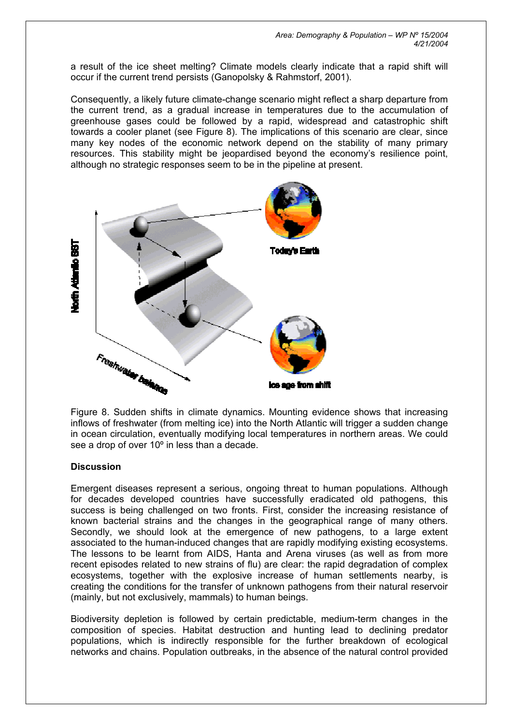a result of the ice sheet melting? Climate models clearly indicate that a rapid shift will occur if the current trend persists (Ganopolsky & Rahmstorf, 2001).

Consequently, a likely future climate-change scenario might reflect a sharp departure from the current trend, as a gradual increase in temperatures due to the accumulation of greenhouse gases could be followed by a rapid, widespread and catastrophic shift towards a cooler planet (see Figure 8). The implications of this scenario are clear, since many key nodes of the economic network depend on the stability of many primary resources. This stability might be jeopardised beyond the economy's resilience point, although no strategic responses seem to be in the pipeline at present.



Figure 8. Sudden shifts in climate dynamics. Mounting evidence shows that increasing inflows of freshwater (from melting ice) into the North Atlantic will trigger a sudden change in ocean circulation, eventually modifying local temperatures in northern areas. We could see a drop of over 10<sup>°</sup> in less than a decade.

### **Discussion**

Emergent diseases represent a serious, ongoing threat to human populations. Although for decades developed countries have successfully eradicated old pathogens, this success is being challenged on two fronts. First, consider the increasing resistance of known bacterial strains and the changes in the geographical range of many others. Secondly, we should look at the emergence of new pathogens, to a large extent associated to the human-induced changes that are rapidly modifying existing ecosystems. The lessons to be learnt from AIDS, Hanta and Arena viruses (as well as from more recent episodes related to new strains of flu) are clear: the rapid degradation of complex ecosystems, together with the explosive increase of human settlements nearby, is creating the conditions for the transfer of unknown pathogens from their natural reservoir (mainly, but not exclusively, mammals) to human beings.

Biodiversity depletion is followed by certain predictable, medium-term changes in the composition of species. Habitat destruction and hunting lead to declining predator populations, which is indirectly responsible for the further breakdown of ecological networks and chains. Population outbreaks, in the absence of the natural control provided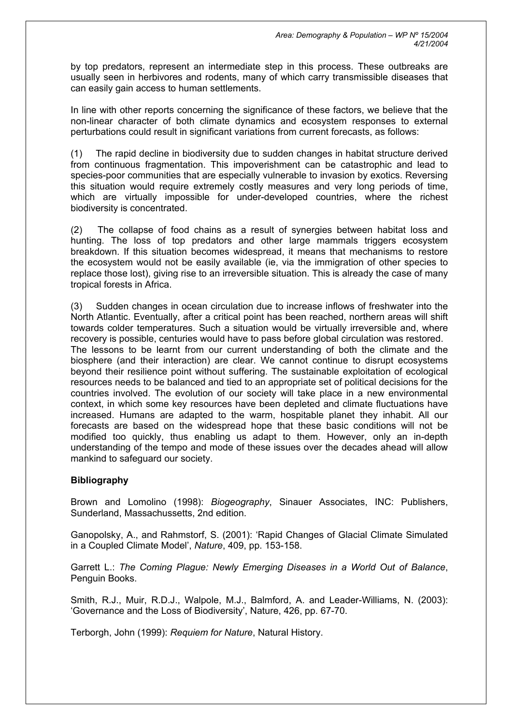by top predators, represent an intermediate step in this process. These outbreaks are usually seen in herbivores and rodents, many of which carry transmissible diseases that can easily gain access to human settlements.

In line with other reports concerning the significance of these factors, we believe that the non-linear character of both climate dynamics and ecosystem responses to external perturbations could result in significant variations from current forecasts, as follows:

(1) The rapid decline in biodiversity due to sudden changes in habitat structure derived from continuous fragmentation. This impoverishment can be catastrophic and lead to species-poor communities that are especially vulnerable to invasion by exotics. Reversing this situation would require extremely costly measures and very long periods of time, which are virtually impossible for under-developed countries, where the richest biodiversity is concentrated.

(2) The collapse of food chains as a result of synergies between habitat loss and hunting. The loss of top predators and other large mammals triggers ecosystem breakdown. If this situation becomes widespread, it means that mechanisms to restore the ecosystem would not be easily available (ie, via the immigration of other species to replace those lost), giving rise to an irreversible situation. This is already the case of many tropical forests in Africa.

(3) Sudden changes in ocean circulation due to increase inflows of freshwater into the North Atlantic. Eventually, after a critical point has been reached, northern areas will shift towards colder temperatures. Such a situation would be virtually irreversible and, where recovery is possible, centuries would have to pass before global circulation was restored. The lessons to be learnt from our current understanding of both the climate and the biosphere (and their interaction) are clear. We cannot continue to disrupt ecosystems beyond their resilience point without suffering. The sustainable exploitation of ecological resources needs to be balanced and tied to an appropriate set of political decisions for the countries involved. The evolution of our society will take place in a new environmental context, in which some key resources have been depleted and climate fluctuations have increased. Humans are adapted to the warm, hospitable planet they inhabit. All our forecasts are based on the widespread hope that these basic conditions will not be modified too quickly, thus enabling us adapt to them. However, only an in-depth understanding of the tempo and mode of these issues over the decades ahead will allow mankind to safeguard our society.

### **Bibliography**

Brown and Lomolino (1998): *Biogeography*, Sinauer Associates, INC: Publishers, Sunderland, Massachussetts, 2nd edition.

Ganopolsky, A., and Rahmstorf, S. (2001): 'Rapid Changes of Glacial Climate Simulated in a Coupled Climate Model', *Nature*, 409, pp. 153-158.

Garrett L.: *The Coming Plague: Newly Emerging Diseases in a World Out of Balance*, Penguin Books.

Smith, R.J., Muir, R.D.J., Walpole, M.J., Balmford, A. and Leader-Williams, N. (2003): 'Governance and the Loss of Biodiversity', Nature, 426, pp. 67-70.

Terborgh, John (1999): *Requiem for Nature*, Natural History.